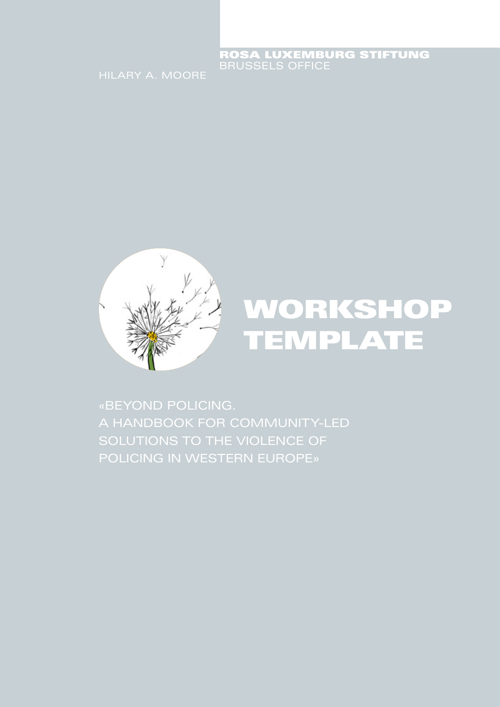## ROSA LUXEMBURG STIFTUNG



# WORKSHOP TEMPLATE

«BEYOND POLICING. A HANDBOOK FOR COMMUNITY-LED POLICING IN WESTERN EUROPE»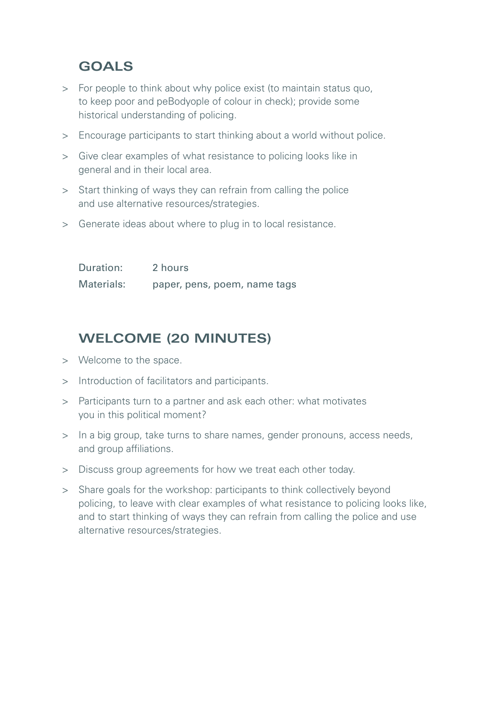### **GOALS**

- > For people to think about why police exist (to maintain status quo, to keep poor and peBodyople of colour in check); provide some historical understanding of policing.
- > Encourage participants to start thinking about a world without police.
- > Give clear examples of what resistance to policing looks like in general and in their local area.
- > Start thinking of ways they can refrain from calling the police and use alternative resources/strategies.
- > Generate ideas about where to plug in to local resistance.

| Duration:  | 2 hours                      |
|------------|------------------------------|
| Materials: | paper, pens, poem, name tags |

## **WELCOME (20 MINUTES)**

- > Welcome to the space.
- > Introduction of facilitators and participants.
- > Participants turn to a partner and ask each other: what motivates you in this political moment?
- > In a big group, take turns to share names, gender pronouns, access needs, and group affiliations.
- > Discuss group agreements for how we treat each other today.
- > Share goals for the workshop: participants to think collectively beyond policing, to leave with clear examples of what resistance to policing looks like, and to start thinking of ways they can refrain from calling the police and use alternative resources/strategies.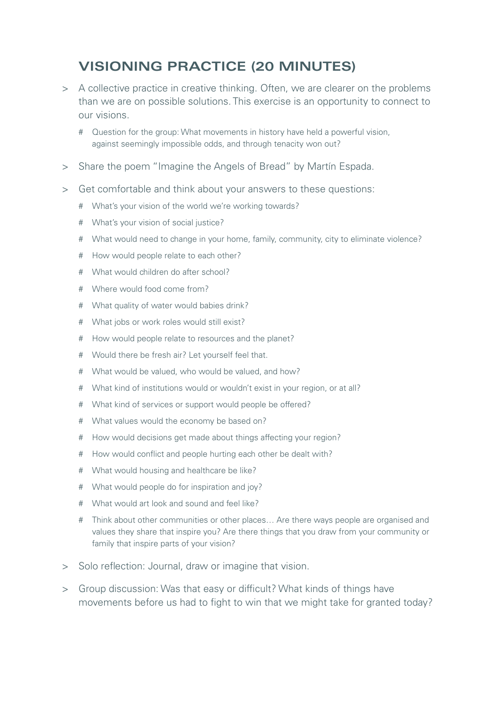## **VISIONING PRACTICE (20 MINUTES)**

- > A collective practice in creative thinking. Often, we are clearer on the problems than we are on possible solutions. This exercise is an opportunity to connect to our visions.
	- # Question for the group: What movements in history have held a powerful vision, against seemingly impossible odds, and through tenacity won out?
- > Share the poem "Imagine the Angels of Bread" by Martín Espada.
- > Get comfortable and think about your answers to these questions:
	- # What's your vision of the world we're working towards?
	- # What's your vision of social justice?
	- # What would need to change in your home, family, community, city to eliminate violence?
	- # How would people relate to each other?
	- # What would children do after school?
	- # Where would food come from?
	- # What quality of water would babies drink?
	- # What jobs or work roles would still exist?
	- # How would people relate to resources and the planet?
	- # Would there be fresh air? Let yourself feel that.
	- # What would be valued, who would be valued, and how?
	- # What kind of institutions would or wouldn't exist in your region, or at all?
	- # What kind of services or support would people be offered?
	- # What values would the economy be based on?
	- # How would decisions get made about things affecting your region?
	- # How would conflict and people hurting each other be dealt with?
	- # What would housing and healthcare be like?
	- # What would people do for inspiration and joy?
	- # What would art look and sound and feel like?
	- # Think about other communities or other places… Are there ways people are organised and values they share that inspire you? Are there things that you draw from your community or family that inspire parts of your vision?
- > Solo reflection: Journal, draw or imagine that vision.
- > Group discussion: Was that easy or difficult? What kinds of things have movements before us had to fight to win that we might take for granted today?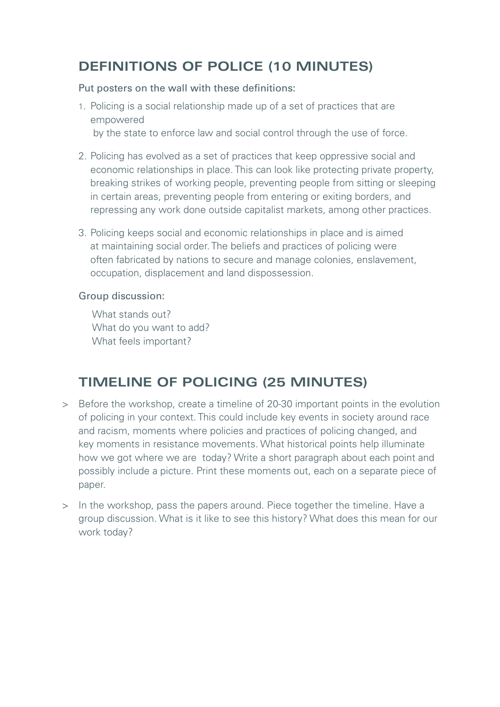## **DEFINITIONS OF POLICE (10 MINUTES)**

#### Put posters on the wall with these definitions:

- 1. Policing is a social relationship made up of a set of practices that are empowered by the state to enforce law and social control through the use of force.
- 2. Policing has evolved as a set of practices that keep oppressive social and economic relationships in place. This can look like protecting private property, breaking strikes of working people, preventing people from sitting or sleeping in certain areas, preventing people from entering or exiting borders, and repressing any work done outside capitalist markets, among other practices.
- 3. Policing keeps social and economic relationships in place and is aimed at maintaining social order. The beliefs and practices of policing were often fabricated by nations to secure and manage colonies, enslavement, occupation, displacement and land dispossession.

### Group discussion:

What stands out? What do you want to add? What feels important?

## **TIMELINE OF POLICING (25 MINUTES)**

- > Before the workshop, create a timeline of 20-30 important points in the evolution of policing in your context. This could include key events in society around race and racism, moments where policies and practices of policing changed, and key moments in resistance movements. What historical points help illuminate how we got where we are today? Write a short paragraph about each point and possibly include a picture. Print these moments out, each on a separate piece of paper.
- > In the workshop, pass the papers around. Piece together the timeline. Have a group discussion. What is it like to see this history? What does this mean for our work today?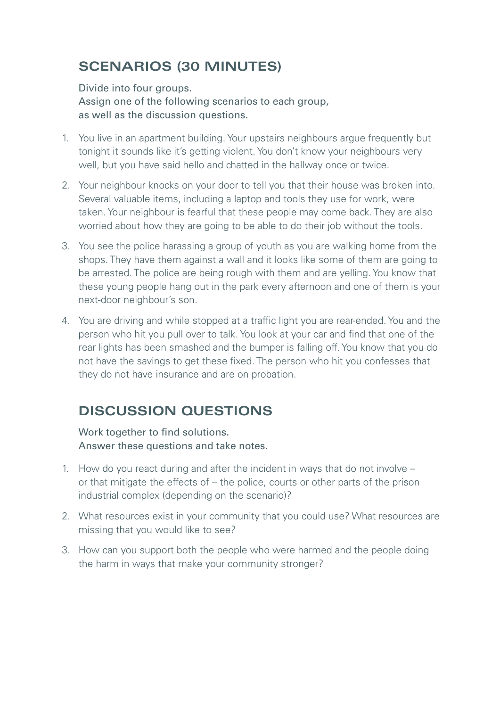## **SCENARIOS (30 MINUTES)**

Divide into four groups. Assign one of the following scenarios to each group, as well as the discussion questions.

- 1. You live in an apartment building. Your upstairs neighbours argue frequently but tonight it sounds like it's getting violent. You don't know your neighbours very well, but you have said hello and chatted in the hallway once or twice.
- 2. Your neighbour knocks on your door to tell you that their house was broken into. Several valuable items, including a laptop and tools they use for work, were taken. Your neighbour is fearful that these people may come back. They are also worried about how they are going to be able to do their job without the tools.
- 3. You see the police harassing a group of youth as you are walking home from the shops. They have them against a wall and it looks like some of them are going to be arrested. The police are being rough with them and are yelling. You know that these young people hang out in the park every afternoon and one of them is your next-door neighbour's son.
- 4. You are driving and while stopped at a traffic light you are rear-ended. You and the person who hit you pull over to talk. You look at your car and find that one of the rear lights has been smashed and the bumper is falling off. You know that you do not have the savings to get these fixed. The person who hit you confesses that they do not have insurance and are on probation.

## **DISCUSSION QUESTIONS**

Work together to find solutions. Answer these questions and take notes.

- 1. How do you react during and after the incident in ways that do not involve or that mitigate the effects of – the police, courts or other parts of the prison industrial complex (depending on the scenario)?
- 2. What resources exist in your community that you could use? What resources are missing that you would like to see?
- 3. How can you support both the people who were harmed and the people doing the harm in ways that make your community stronger?